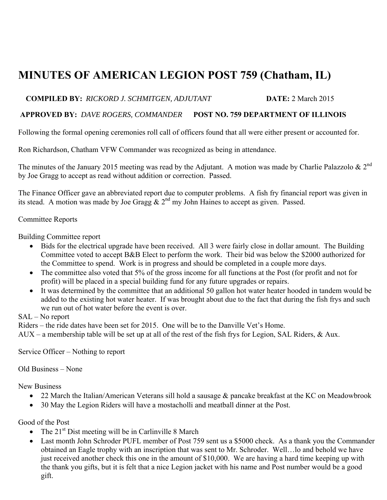# **MINUTES OF AMERICAN LEGION POST 759 (Chatham, IL)**

## **COMPILED BY:** *RICKORD J. SCHMITGEN, ADJUTANT* **DATE:** 2 March 2015

#### **APPROVED BY:** *DAVE ROGERS, COMMANDER* **POST NO. 759 DEPARTMENT OF ILLINOIS**

Following the formal opening ceremonies roll call of officers found that all were either present or accounted for.

Ron Richardson, Chatham VFW Commander was recognized as being in attendance.

The minutes of the January 2015 meeting was read by the Adjutant. A motion was made by Charlie Palazzolo  $\& 2^{nd}$ by Joe Gragg to accept as read without addition or correction. Passed.

The Finance Officer gave an abbreviated report due to computer problems. A fish fry financial report was given in its stead. A motion was made by Joe Gragg  $\& 2<sup>nd</sup>$  my John Haines to accept as given. Passed.

### Committee Reports

Building Committee report

- Bids for the electrical upgrade have been received. All 3 were fairly close in dollar amount. The Building Committee voted to accept B&B Elect to perform the work. Their bid was below the \$2000 authorized for the Committee to spend. Work is in progress and should be completed in a couple more days.
- The committee also voted that 5% of the gross income for all functions at the Post (for profit and not for profit) will be placed in a special building fund for any future upgrades or repairs.
- It was determined by the committee that an additional 50 gallon hot water heater hooded in tandem would be added to the existing hot water heater. If was brought about due to the fact that during the fish frys and such we run out of hot water before the event is over.

#### SAL – No report

Riders – the ride dates have been set for 2015. One will be to the Danville Vet's Home.

 $AUX - a$  membership table will be set up at all of the rest of the fish frys for Legion, SAL Riders, & Aux.

Service Officer – Nothing to report

Old Business – None

New Business

- 22 March the Italian/American Veterans sill hold a sausage & pancake breakfast at the KC on Meadowbrook
- 30 May the Legion Riders will have a mostacholli and meatball dinner at the Post.

Good of the Post

- The  $21<sup>st</sup>$  Dist meeting will be in Carlinville 8 March
- Last month John Schroder PUFL member of Post 759 sent us a \$5000 check. As a thank you the Commander obtained an Eagle trophy with an inscription that was sent to Mr. Schroder. Well…lo and behold we have just received another check this one in the amount of \$10,000. We are having a hard time keeping up with the thank you gifts, but it is felt that a nice Legion jacket with his name and Post number would be a good gift.